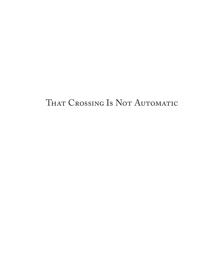#### THAT CROSSING IS NOT AUTOMATIC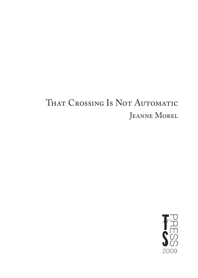#### THAT CROSSING IS NOT AUTOMATIC JEANNE MOREL

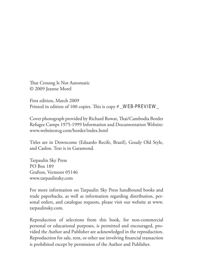That Crossng Is Not Automatic © 2009 Jeanne Morel

First edition, March 2009 Printed in edition of 100 copies. This is copy # \_WEB-PREVIEW\_

Cover photograph provided by Richard Rowat, Thai/Cambodia Border Refugee Camps 1975-1999 Information and Documentation Website: www.websitesrcg.com/border/index.html

Titles are in Downcome (Eduardo Recife, Brazil), Goudy Old Style, and Caslon. Text is in Garamond.

Tarpaulin Sky Press PO Box 189 Grafton, Vermont 05146 www.tarpaulinsky.com

For more information on Tarpaulin Sky Press handbound books and trade paperbacks, as well as information regarding distribution, personal orders, and catalogue requests, please visit our website at www. tarpaulinsky.com.

Reproduction of selections from this book, for non-commercial personal or educational purposes, is permitted and encouraged, provided the Author and Publisher are acknowledged in the reproduction. Reproduction for sale, rent, or other use involving financial transaction is prohibited except by permission of the Author and Publisher.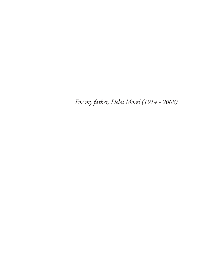*For my father, Delos Morel (1914 - 2008)*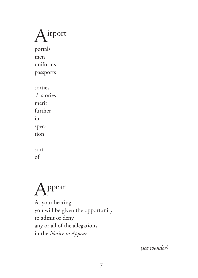

portals men uniforms

passports

sorties / stories merit further inspection

sort of



At your hearing you will be given the opportunity to admit or deny any or all of the allegations in the *Notice to Appear*

*(see wonder)*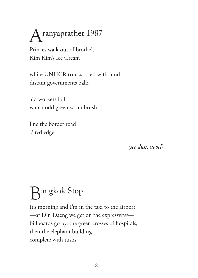### Aranyaprathet 1987

Princes walk out of brothels Kim Kim's Ice Cream

white UNHCR trucks—red with mud distant governments balk

aid workers loll watch odd green scrub brush

line the border road / red edge

*(see dust, novel)*

#### Bangkok Stop

It's morning and I'm in the taxi to the airport —at Din Daeng we get on the expressway billboards go by, the green crosses of hospitals, then the elephant building complete with tusks.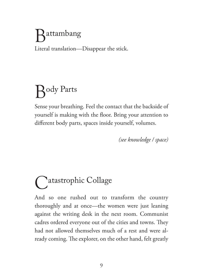## $\lambda$ attambang

Literal translation—Disappear the stick.

# **Hody Parts**

Sense your breathing. Feel the contact that the backside of yourself is making with the floor. Bring your attention to different body parts, spaces inside yourself, volumes.

*(see knowledge / space)*

## **Natastrophic Collage**

And so one rushed out to transform the country thoroughly and at once—the women were just leaning against the writing desk in the next room. Communist cadres ordered everyone out of the cities and towns. They had not allowed themselves much of a rest and were already coming. The explorer, on the other hand, felt greatly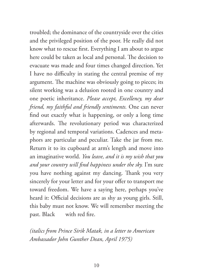troubled; the dominance of the countryside over the cities and the privileged position of the poor. He really did not know what to rescue first. Everything I am about to argue here could be taken as local and personal. The decision to evacuate was made and four times changed direction. Yet I have no difficulty in stating the central premise of my argument. The machine was obviously going to pieces; its silent working was a delusion rooted in one country and one poetic inheritance. *Please accept, Excellency, my dear friend, my faithful and friendly sentiments.* One can never find out exactly what is happening, or only a long time afterwards. The revolutionary period was characterized by regional and temporal variations. Cadences and metaphors are particular and peculiar. Take the jar from me. Return it to its cupboard at arm's length and move into an imaginative world. *You leave, and it is my wish that you and your country will find happiness under the sky.* I'm sure you have nothing against my dancing. Thank you very sincerely for your letter and for your offer to transport me toward freedom. We have a saying here, perhaps you've heard it: Official decisions are as shy as young girls. Still, this baby must not know. We will remember meeting the past. Black with red fire.

*(italics from Prince Sirik Matak, in a letter to American Ambassador John Gunther Dean, April 1975)*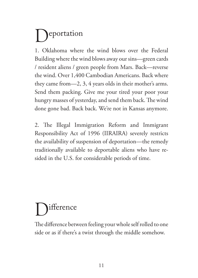## **P**eportation

1. Oklahoma where the wind blows over the Federal Building where the wind blows away our sins—green cards / resident aliens / green people from Mars. Back—reverse the wind. Over 1,400 Cambodian Americans. Back where they came from—2, 3, 4 years olds in their mother's arms. Send them packing. Give me your tired your poor your hungry masses of yesterday, and send them back. The wind done gone bad. Back back. We're not in Kansas anymore.

2. The Illegal Immigration Reform and Immigrant Responsibility Act of 1996 (IIRAIRA) severely restricts the availability of suspension of deportation—the remedy traditionally available to deportable aliens who have resided in the U.S. for considerable periods of time.

# **Mitterence**

The difference between feeling your whole self rolled to one side or as if there's a twist through the middle somehow.